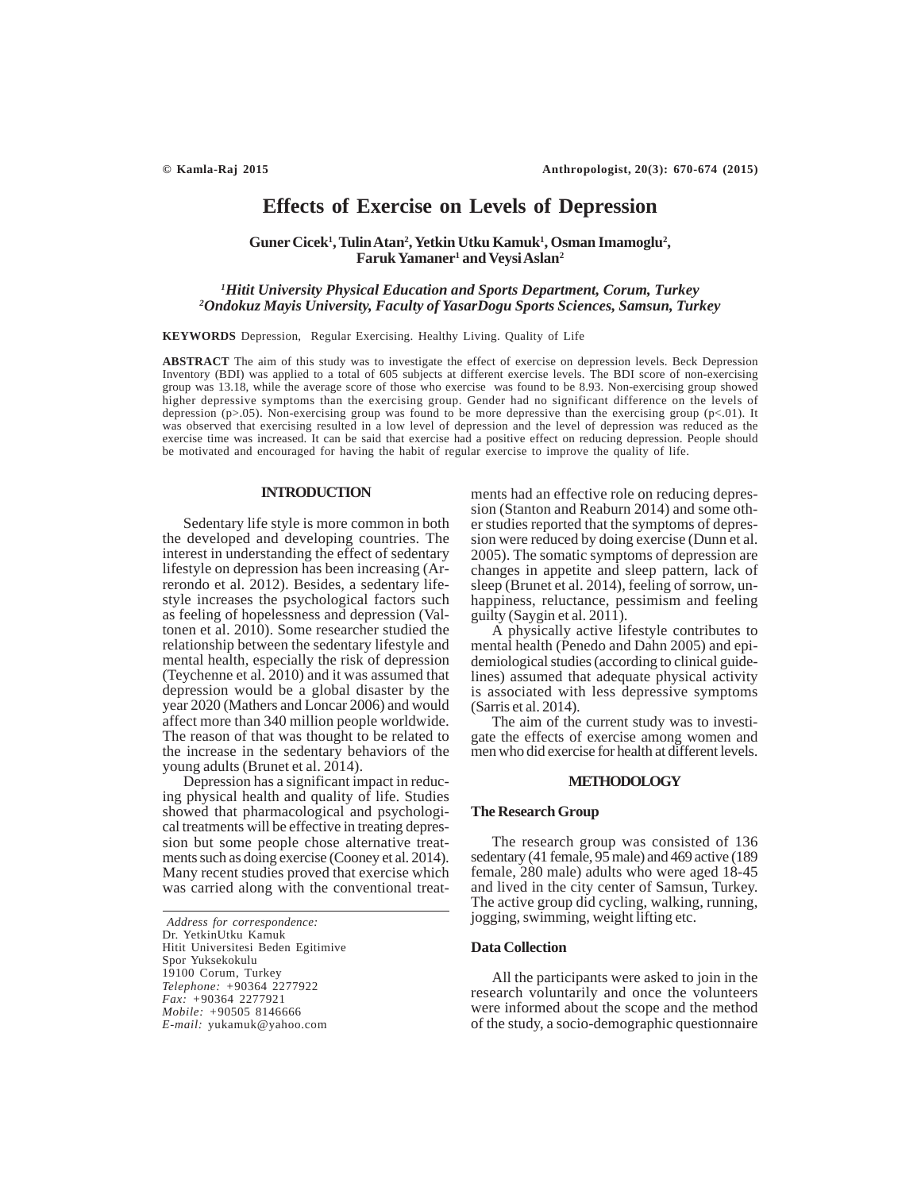# **Effects of Exercise on Levels of Depression**

## Guner Cicek<sup>1</sup>, Tulin Atan<sup>2</sup>, Yetkin Utku Kamuk<sup>1</sup>, Osman Imamoglu<sup>2</sup>,  $\mathbf{Faruk Yamaner} \mathbf{1}$  and  $\mathbf{Veysi Aslan} \mathbf{2}$

# *1 Hitit University Physical Education and Sports Department, Corum, Turkey 2 Ondokuz Mayis University, Faculty of YasarDogu Sports Sciences, Samsun, Turkey*

**KEYWORDS** Depression, Regular Exercising. Healthy Living. Quality of Life

**ABSTRACT** The aim of this study was to investigate the effect of exercise on depression levels. Beck Depression Inventory (BDI) was applied to a total of 605 subjects at different exercise levels. The BDI score of non-exercising group was 13.18, while the average score of those who exercise was found to be 8.93. Non-exercising group showed higher depressive symptoms than the exercising group. Gender had no significant difference on the levels of depression (p>.05). Non-exercising group was found to be more depressive than the exercising group (p<.01). It was observed that exercising resulted in a low level of depression and the level of depression was reduced as the exercise time was increased. It can be said that exercise had a positive effect on reducing depression. People should be motivated and encouraged for having the habit of regular exercise to improve the quality of life.

## **INTRODUCTION**

Sedentary life style is more common in both the developed and developing countries. The interest in understanding the effect of sedentary lifestyle on depression has been increasing (Arrerondo et al. 2012). Besides, a sedentary lifestyle increases the psychological factors such as feeling of hopelessness and depression (Valtonen et al. 2010). Some researcher studied the relationship between the sedentary lifestyle and mental health, especially the risk of depression (Teychenne et al. 2010) and it was assumed that depression would be a global disaster by the year 2020 (Mathers and Loncar 2006) and would affect more than 340 million people worldwide. The reason of that was thought to be related to the increase in the sedentary behaviors of the young adults (Brunet et al. 2014).

Depression has a significant impact in reducing physical health and quality of life. Studies showed that pharmacological and psychological treatments will be effective in treating depression but some people chose alternative treatments such as doing exercise (Cooney et al. 2014). Many recent studies proved that exercise which was carried along with the conventional treat-

*Address for correspondence:* Dr. YetkinUtku Kamuk Hitit Universitesi Beden Egitimive Spor Yuksekokulu 19100 Corum, Turkey *Telephone: +*90364 2277922 *Fax: +*90364 2277921 *Mobile: +*90505 8146666 *E-mail:* yukamuk@yahoo.com

ments had an effective role on reducing depression (Stanton and Reaburn 2014) and some other studies reported that the symptoms of depression were reduced by doing exercise (Dunn et al. 2005). The somatic symptoms of depression are changes in appetite and sleep pattern, lack of sleep (Brunet et al. 2014), feeling of sorrow, unhappiness, reluctance, pessimism and feeling guilty (Saygin et al.  $2011$ ).

A physically active lifestyle contributes to mental health (Penedo and Dahn 2005) and epidemiological studies (according to clinical guidelines) assumed that adequate physical activity is associated with less depressive symptoms (Sarris et al. 2014).

The aim of the current study was to investigate the effects of exercise among women and men who did exercise for health at different levels.

## **METHODOLOGY**

### **The Research Group**

The research group was consisted of 136 sedentary (41 female, 95 male) and 469 active (189 female, 280 male) adults who were aged 18-45 and lived in the city center of Samsun, Turkey. The active group did cycling, walking, running, jogging, swimming, weight lifting etc.

#### **Data Collection**

All the participants were asked to join in the research voluntarily and once the volunteers were informed about the scope and the method of the study, a socio-demographic questionnaire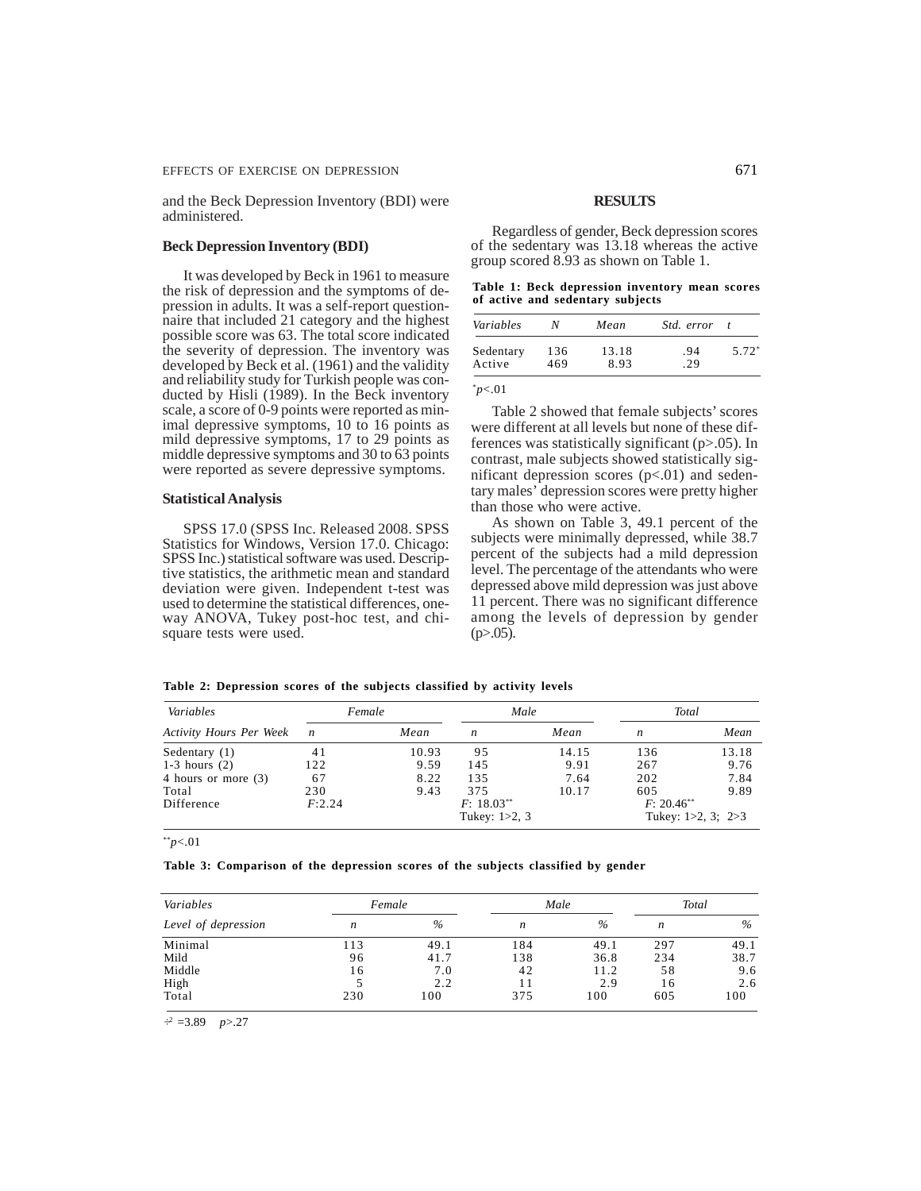and the Beck Depression Inventory (BDI) were administered.

## **Beck Depression Inventory (BDI)**

It was developed by Beck in 1961 to measure the risk of depression and the symptoms of depression in adults. It was a self-report questionnaire that included 21 category and the highest possible score was 63. The total score indicated the severity of depression. The inventory was developed by Beck et al. (1961) and the validity and reliability study for Turkish people was conducted by Hisli (1989). In the Beck inventory scale, a score of 0-9 points were reported as minimal depressive symptoms, 10 to 16 points as mild depressive symptoms, 17 to 29 points as middle depressive symptoms and 30 to 63 points were reported as severe depressive symptoms.

#### **Statistical Analysis**

SPSS 17.0 (SPSS Inc. Released 2008. SPSS Statistics for Windows, Version 17.0. Chicago: SPSS Inc.) statistical software was used. Descriptive statistics, the arithmetic mean and standard deviation were given. Independent t-test was used to determine the statistical differences, oneway ANOVA, Tukey post-hoc test, and chisquare tests were used.

#### **RESULTS**

Regardless of gender, Beck depression scores of the sedentary was 13.18 whereas the active group scored 8.93 as shown on Table 1.

|  | Table 1: Beck depression inventory mean scores |  |  |
|--|------------------------------------------------|--|--|
|  | of active and sedentary subjects               |  |  |

| Variables | N   | Mean  | <i>Std.</i> error |         |
|-----------|-----|-------|-------------------|---------|
| Sedentary | 136 | 13.18 | .94               | $5.72*$ |
| Active    | 469 | 8.93  | .29               |         |

\**p*<.01

Table 2 showed that female subjects' scores were different at all levels but none of these differences was statistically significant (p>.05). In contrast, male subjects showed statistically significant depression scores  $(p<.01)$  and sedentary males' depression scores were pretty higher than those who were active.

As shown on Table 3, 49.1 percent of the subjects were minimally depressed, while 38.7 percent of the subjects had a mild depression level. The percentage of the attendants who were depressed above mild depression was just above 11 percent. There was no significant difference among the levels of depression by gender  $(p>0.05)$ .

|  |  |  | Table 2: Depression scores of the subjects classified by activity levels |  |  |  |  |  |  |  |  |  |
|--|--|--|--------------------------------------------------------------------------|--|--|--|--|--|--|--|--|--|
|--|--|--|--------------------------------------------------------------------------|--|--|--|--|--|--|--|--|--|

| Variables                      | Female         |       | Male              |       | Total         |                         |  |
|--------------------------------|----------------|-------|-------------------|-------|---------------|-------------------------|--|
| <b>Activity Hours Per Week</b> | $\overline{ }$ | Mean  | n                 | Mean  | n             | Mean                    |  |
| Sedentary $(1)$                | 41             | 10.93 | 95                | 14.15 | 136           | 13.18                   |  |
| $1-3$ hours $(2)$              | 122            | 9.59  | 145               | 9.91  | 267           | 9.76                    |  |
| 4 hours or more (3)            | 67             | 8.22  | 135               | 7.64  | 202           | 7.84                    |  |
| Total                          | 230            | 9.43  | 375               | 10.17 | 605           | 9.89                    |  |
| Difference                     | F:2.24         |       | $F: 18.03***$     |       | $F: 20.46***$ |                         |  |
|                                |                |       | Tukey: $1 > 2, 3$ |       |               | Tukey: $1>2$ , 3; $2>3$ |  |

\*\**p*<.01

#### **Table 3: Comparison of the depression scores of the subjects classified by gender**

| Variables           | Female |      |     | Male | Total |      |
|---------------------|--------|------|-----|------|-------|------|
| Level of depression | n      | $\%$ | n   | $\%$ | n     | $\%$ |
| Minimal             | 113    | 49.1 | 184 | 49.1 | 297   | 49.1 |
| Mild                | 96     | 41.7 | 138 | 36.8 | 234   | 38.7 |
| Middle              | 16     | 7.0  | 42  | 11.2 | 58    | 9.6  |
| High                |        | 2.2  |     | 2.9  | 16    | 2.6  |
| Total               | 230    | 100  | 375 | 100  | 605   | 100  |

 $\div^2$  =3.89 *p*>.27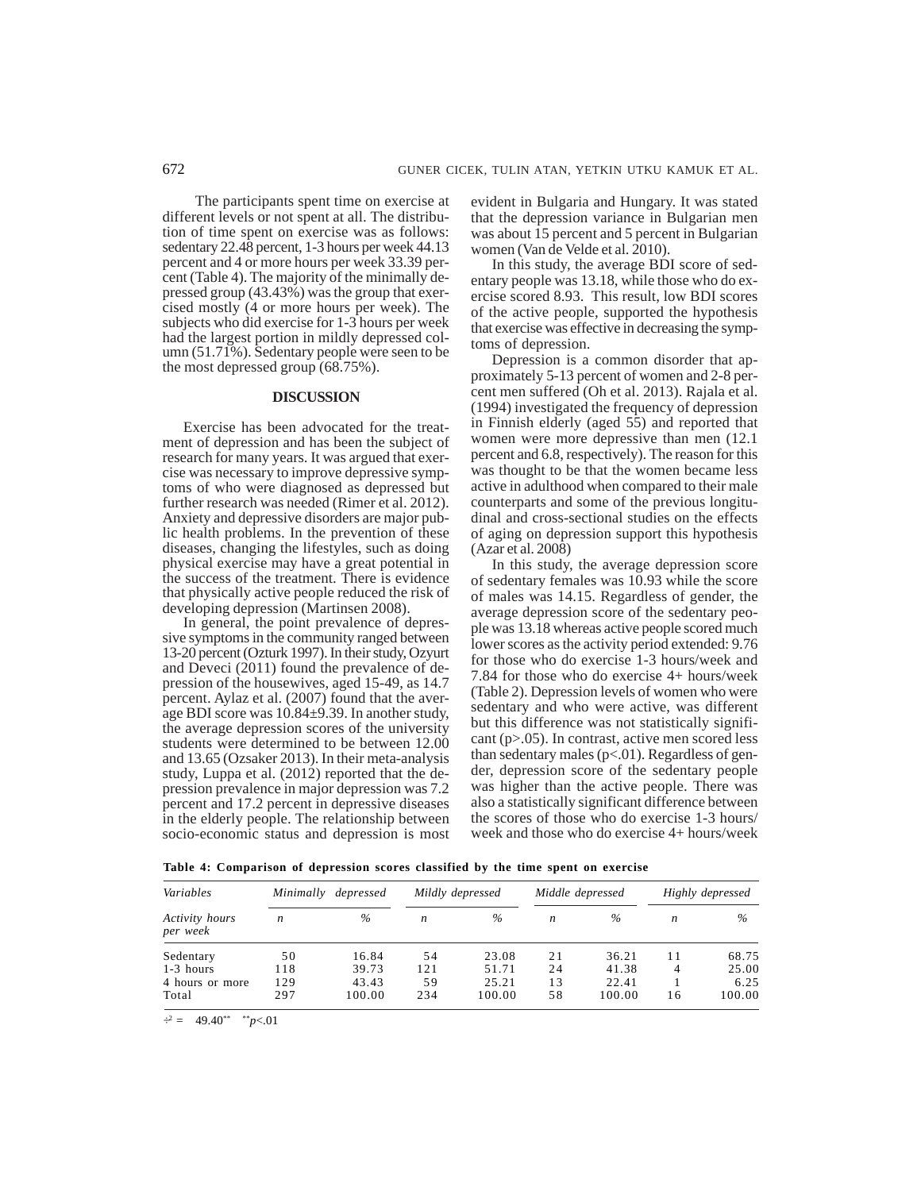The participants spent time on exercise at different levels or not spent at all. The distribution of time spent on exercise was as follows: sedentary 22.48 percent, 1-3 hours per week 44.13 percent and 4 or more hours per week 33.39 percent (Table 4). The majority of the minimally depressed group (43.43%) was the group that exercised mostly (4 or more hours per week). The subjects who did exercise for 1-3 hours per week had the largest portion in mildly depressed column (51.71%). Sedentary people were seen to be the most depressed group (68.75%).

## **DISCUSSION**

Exercise has been advocated for the treatment of depression and has been the subject of research for many years. It was argued that exercise was necessary to improve depressive symptoms of who were diagnosed as depressed but further research was needed (Rimer et al. 2012). Anxiety and depressive disorders are major public health problems. In the prevention of these diseases, changing the lifestyles, such as doing physical exercise may have a great potential in the success of the treatment. There is evidence that physically active people reduced the risk of developing depression (Martinsen 2008).

In general, the point prevalence of depressive symptoms in the community ranged between 13-20 percent (Ozturk 1997). In their study, Ozyurt and Deveci (2011) found the prevalence of depression of the housewives, aged 15-49, as 14.7 percent. Aylaz et al. (2007) found that the average BDI score was 10.84±9.39. In another study, the average depression scores of the university students were determined to be between 12.00 and 13.65 (Ozsaker 2013). In their meta-analysis study, Luppa et al. (2012) reported that the depression prevalence in major depression was 7.2 percent and 17.2 percent in depressive diseases in the elderly people. The relationship between socio-economic status and depression is most evident in Bulgaria and Hungary. It was stated that the depression variance in Bulgarian men was about 15 percent and 5 percent in Bulgarian women (Van de Velde et al. 2010).

In this study, the average BDI score of sedentary people was 13.18, while those who do exercise scored 8.93. This result, low BDI scores of the active people, supported the hypothesis that exercise was effective in decreasing the symptoms of depression.

Depression is a common disorder that approximately 5-13 percent of women and 2-8 percent men suffered (Oh et al. 2013). Rajala et al. (1994) investigated the frequency of depression in Finnish elderly (aged 55) and reported that women were more depressive than men (12.1 percent and 6.8, respectively). The reason for this was thought to be that the women became less active in adulthood when compared to their male counterparts and some of the previous longitudinal and cross-sectional studies on the effects of aging on depression support this hypothesis (Azar et al. 2008)

In this study, the average depression score of sedentary females was 10.93 while the score of males was 14.15. Regardless of gender, the average depression score of the sedentary people was 13.18 whereas active people scored much lower scores as the activity period extended: 9.76 for those who do exercise 1-3 hours/week and 7.84 for those who do exercise 4+ hours/week (Table 2). Depression levels of women who were sedentary and who were active, was different but this difference was not statistically significant (p>.05). In contrast, active men scored less than sedentary males  $(p<.01)$ . Regardless of gender, depression score of the sedentary people was higher than the active people. There was also a statistically significant difference between the scores of those who do exercise 1-3 hours/ week and those who do exercise 4+ hours/week

|  | Table 4: Comparison of depression scores classified by the time spent on exercise |  |  |  |  |  |  |  |  |  |  |  |
|--|-----------------------------------------------------------------------------------|--|--|--|--|--|--|--|--|--|--|--|
|--|-----------------------------------------------------------------------------------|--|--|--|--|--|--|--|--|--|--|--|

| Variables                  | Minimally | depressed |     | Mildly depressed | Middle depressed |               |    | Highly depressed |  |
|----------------------------|-----------|-----------|-----|------------------|------------------|---------------|----|------------------|--|
| Activity hours<br>per week | n         | $\%$      | n   | $\%$             | n                | $\frac{0}{0}$ | n  | $\%$             |  |
| Sedentary                  | 50        | 16.84     | 54  | 23.08            | 21               | 36.21         | 11 | 68.75            |  |
| $1-3$ hours                | 118       | 39.73     | 121 | 51.71            | 24               | 41.38         | 4  | 25.00            |  |
| 4 hours or more            | 129       | 43.43     | 59  | 25.21            | 13               | 22.41         |    | 6.25             |  |
| Total                      | 297       | 100.00    | 234 | 100.00           | 58               | 100.00        | 16 | 100.00           |  |

 $\dot{f}^2 = 49.40^{**}$  \*\**p*<.01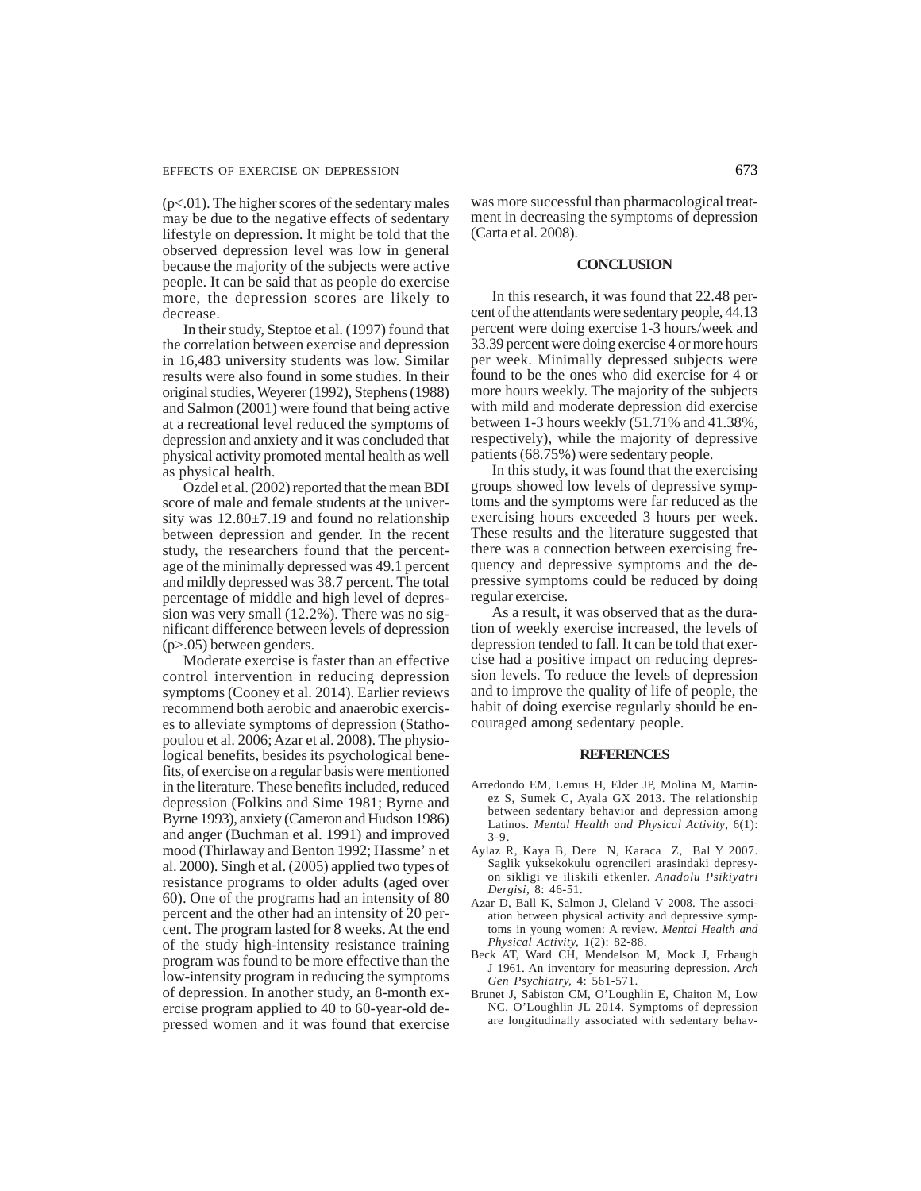$(p<.01)$ . The higher scores of the sedentary males may be due to the negative effects of sedentary lifestyle on depression. It might be told that the observed depression level was low in general because the majority of the subjects were active people. It can be said that as people do exercise more, the depression scores are likely to decrease.

In their study, Steptoe et al. (1997) found that the correlation between exercise and depression in 16,483 university students was low. Similar results were also found in some studies. In their original studies, Weyerer (1992), Stephens (1988) and Salmon (2001) were found that being active at a recreational level reduced the symptoms of depression and anxiety and it was concluded that physical activity promoted mental health as well as physical health.

Ozdel et al. (2002) reported that the mean BDI score of male and female students at the university was  $12.80 \pm 7.19$  and found no relationship between depression and gender. In the recent study, the researchers found that the percentage of the minimally depressed was 49.1 percent and mildly depressed was 38.7 percent. The total percentage of middle and high level of depression was very small (12.2%). There was no significant difference between levels of depression (p>.05) between genders.

Moderate exercise is faster than an effective control intervention in reducing depression symptoms (Cooney et al. 2014). Earlier reviews recommend both aerobic and anaerobic exercises to alleviate symptoms of depression (Stathopoulou et al. 2006; Azar et al. 2008). The physiological benefits, besides its psychological benefits, of exercise on a regular basis were mentioned in the literature. These benefits included, reduced depression (Folkins and Sime 1981; Byrne and Byrne 1993), anxiety (Cameron and Hudson 1986) and anger (Buchman et al. 1991) and improved mood (Thirlaway and Benton 1992; Hassme' n et al. 2000). Singh et al. (2005) applied two types of resistance programs to older adults (aged over 60). One of the programs had an intensity of 80 percent and the other had an intensity of 20 percent. The program lasted for 8 weeks. At the end of the study high-intensity resistance training program was found to be more effective than the low-intensity program in reducing the symptoms of depression. In another study, an 8-month exercise program applied to 40 to 60-year-old depressed women and it was found that exercise

was more successful than pharmacological treatment in decreasing the symptoms of depression (Carta et al. 2008).

#### **CONCLUSION**

In this research, it was found that 22.48 percent of the attendants were sedentary people, 44.13 percent were doing exercise 1-3 hours/week and 33.39 percent were doing exercise 4 or more hours per week. Minimally depressed subjects were found to be the ones who did exercise for 4 or more hours weekly. The majority of the subjects with mild and moderate depression did exercise between 1-3 hours weekly (51.71% and 41.38%, respectively), while the majority of depressive patients (68.75%) were sedentary people.

In this study, it was found that the exercising groups showed low levels of depressive symptoms and the symptoms were far reduced as the exercising hours exceeded 3 hours per week. These results and the literature suggested that there was a connection between exercising frequency and depressive symptoms and the depressive symptoms could be reduced by doing regular exercise.

As a result, it was observed that as the duration of weekly exercise increased, the levels of depression tended to fall. It can be told that exercise had a positive impact on reducing depression levels. To reduce the levels of depression and to improve the quality of life of people, the habit of doing exercise regularly should be encouraged among sedentary people.

#### **REFERENCES**

- Arredondo EM, Lemus H, Elder JP, Molina M, Martinez S, Sumek C, Ayala GX 2013. The relationship between sedentary behavior and depression among Latinos. *Mental Health and Physical Activity*, 6(1): 3-9.
- Aylaz R, Kaya B, Dere N, Karaca Z, Bal Y 2007. Saglik yuksekokulu ogrencileri arasindaki depresyon sikligi ve iliskili etkenler. *Anadolu Psikiyatri Dergisi,* 8: 46-51.
- Azar D, Ball K, Salmon J, Cleland V 2008. The association between physical activity and depressive symptoms in young women: A review. *Mental Health and Physical Activity,* 1(2): 82-88.
- Beck AT, Ward CH, Mendelson M, Mock J, Erbaugh J 1961. An inventory for measuring depression. *Arch Gen Psychiatry,* 4: 561-571.
- Brunet J, Sabiston CM, O'Loughlin E, Chaiton M, Low NC, O'Loughlin JL 2014. Symptoms of depression are longitudinally associated with sedentary behav-